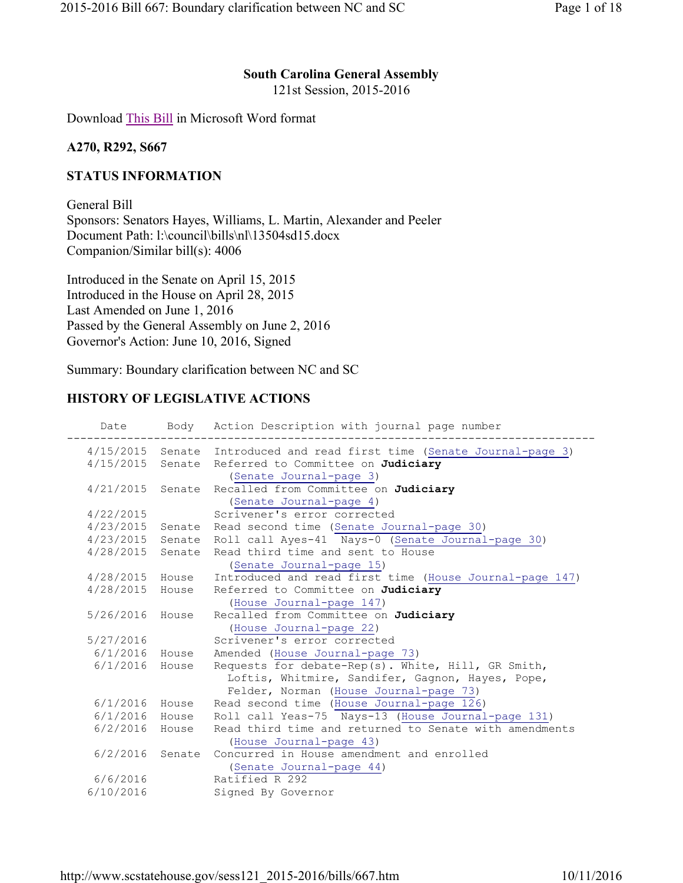### South Carolina General Assembly

121st Session, 2015-2016

Download This Bill in Microsoft Word format

#### A270, R292, S667

### STATUS INFORMATION

General Bill Sponsors: Senators Hayes, Williams, L. Martin, Alexander and Peeler Document Path: l:\council\bills\nl\13504sd15.docx Companion/Similar bill(s): 4006

Introduced in the Senate on April 15, 2015 Introduced in the House on April 28, 2015 Last Amended on June 1, 2016 Passed by the General Assembly on June 2, 2016 Governor's Action: June 10, 2016, Signed

Summary: Boundary clarification between NC and SC

# HISTORY OF LEGISLATIVE ACTIONS

|                  |        | Date Body Action Description with journal page number                          |
|------------------|--------|--------------------------------------------------------------------------------|
|                  |        | 4/15/2015 Senate Introduced and read first time (Senate Journal-page 3)        |
|                  |        | 4/15/2015 Senate Referred to Committee on Judiciary<br>(Senate Journal-page 3) |
| 4/21/2015        | Senate | Recalled from Committee on Judiciary                                           |
| 4/22/2015        |        | (Senate Journal-page 4)<br>Scrivener's error corrected                         |
|                  |        | 4/23/2015 Senate Read second time (Senate Journal-page 30)                     |
|                  |        | 4/23/2015 Senate Roll call Ayes-41 Nays-0 (Senate Journal-page 30)             |
| 4/28/2015 Senate |        | Read third time and sent to House                                              |
|                  |        | (Senate Journal-page 15)                                                       |
| 4/28/2015 House  |        | Introduced and read first time (House Journal-page 147)                        |
| 4/28/2015 House  |        | Referred to Committee on Judiciary                                             |
|                  |        | (House Journal-page 147)                                                       |
| 5/26/2016        | House  | Recalled from Committee on Judiciary                                           |
|                  |        | (House Journal-page 22)                                                        |
| 5/27/2016        |        | Scrivener's error corrected                                                    |
| $6/1/2016$ House |        | Amended (House Journal-page 73)                                                |
| $6/1/2016$ House |        | Requests for debate-Rep(s). White, Hill, GR Smith,                             |
|                  |        | Loftis, Whitmire, Sandifer, Gagnon, Hayes, Pope,                               |
|                  |        | Felder, Norman (House Journal-page 73)                                         |
| 6/1/2016 House   |        | Read second time (House Journal-page 126)                                      |
| $6/1/2016$ House |        | Roll call Yeas-75 Nays-13 (House Journal-page 131)                             |
| $6/2/2016$ House |        | Read third time and returned to Senate with amendments                         |
|                  |        | (House Journal-page 43)                                                        |
| 6/2/2016         | Senate | Concurred in House amendment and enrolled                                      |
|                  |        | (Senate Journal-page 44)                                                       |
| 6/6/2016         |        | Ratified R 292                                                                 |
| 6/10/2016        |        | Signed By Governor                                                             |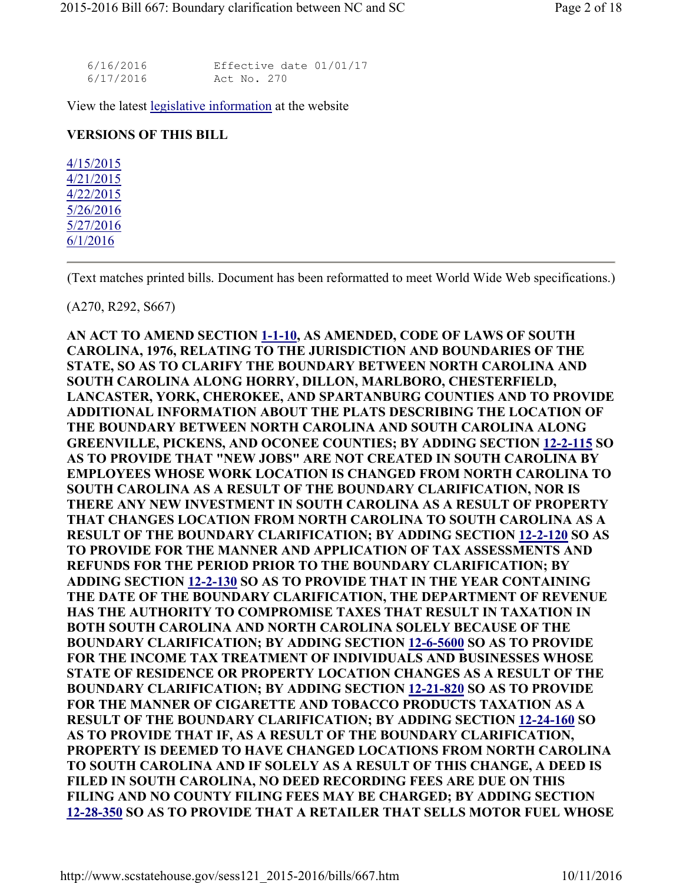| 6/16/2016 | Effective date 01/01/17 |
|-----------|-------------------------|
| 6/17/2016 | Act No. 270             |

View the latest legislative information at the website

#### VERSIONS OF THIS BILL

4/15/2015 4/21/2015 4/22/2015 5/26/2016 5/27/2016 6/1/2016

(Text matches printed bills. Document has been reformatted to meet World Wide Web specifications.)

#### (A270, R292, S667)

AN ACT TO AMEND SECTION 1-1-10, AS AMENDED, CODE OF LAWS OF SOUTH CAROLINA, 1976, RELATING TO THE JURISDICTION AND BOUNDARIES OF THE STATE, SO AS TO CLARIFY THE BOUNDARY BETWEEN NORTH CAROLINA AND SOUTH CAROLINA ALONG HORRY, DILLON, MARLBORO, CHESTERFIELD, LANCASTER, YORK, CHEROKEE, AND SPARTANBURG COUNTIES AND TO PROVIDE ADDITIONAL INFORMATION ABOUT THE PLATS DESCRIBING THE LOCATION OF THE BOUNDARY BETWEEN NORTH CAROLINA AND SOUTH CAROLINA ALONG GREENVILLE, PICKENS, AND OCONEE COUNTIES; BY ADDING SECTION 12-2-115 SO AS TO PROVIDE THAT "NEW JOBS" ARE NOT CREATED IN SOUTH CAROLINA BY EMPLOYEES WHOSE WORK LOCATION IS CHANGED FROM NORTH CAROLINA TO SOUTH CAROLINA AS A RESULT OF THE BOUNDARY CLARIFICATION, NOR IS THERE ANY NEW INVESTMENT IN SOUTH CAROLINA AS A RESULT OF PROPERTY THAT CHANGES LOCATION FROM NORTH CAROLINA TO SOUTH CAROLINA AS A RESULT OF THE BOUNDARY CLARIFICATION; BY ADDING SECTION 12-2-120 SO AS TO PROVIDE FOR THE MANNER AND APPLICATION OF TAX ASSESSMENTS AND REFUNDS FOR THE PERIOD PRIOR TO THE BOUNDARY CLARIFICATION; BY ADDING SECTION 12-2-130 SO AS TO PROVIDE THAT IN THE YEAR CONTAINING THE DATE OF THE BOUNDARY CLARIFICATION, THE DEPARTMENT OF REVENUE HAS THE AUTHORITY TO COMPROMISE TAXES THAT RESULT IN TAXATION IN BOTH SOUTH CAROLINA AND NORTH CAROLINA SOLELY BECAUSE OF THE BOUNDARY CLARIFICATION; BY ADDING SECTION 12-6-5600 SO AS TO PROVIDE FOR THE INCOME TAX TREATMENT OF INDIVIDUALS AND BUSINESSES WHOSE STATE OF RESIDENCE OR PROPERTY LOCATION CHANGES AS A RESULT OF THE BOUNDARY CLARIFICATION; BY ADDING SECTION 12-21-820 SO AS TO PROVIDE FOR THE MANNER OF CIGARETTE AND TOBACCO PRODUCTS TAXATION AS A RESULT OF THE BOUNDARY CLARIFICATION; BY ADDING SECTION 12-24-160 SO AS TO PROVIDE THAT IF, AS A RESULT OF THE BOUNDARY CLARIFICATION, PROPERTY IS DEEMED TO HAVE CHANGED LOCATIONS FROM NORTH CAROLINA TO SOUTH CAROLINA AND IF SOLELY AS A RESULT OF THIS CHANGE, A DEED IS FILED IN SOUTH CAROLINA, NO DEED RECORDING FEES ARE DUE ON THIS FILING AND NO COUNTY FILING FEES MAY BE CHARGED; BY ADDING SECTION 12-28-350 SO AS TO PROVIDE THAT A RETAILER THAT SELLS MOTOR FUEL WHOSE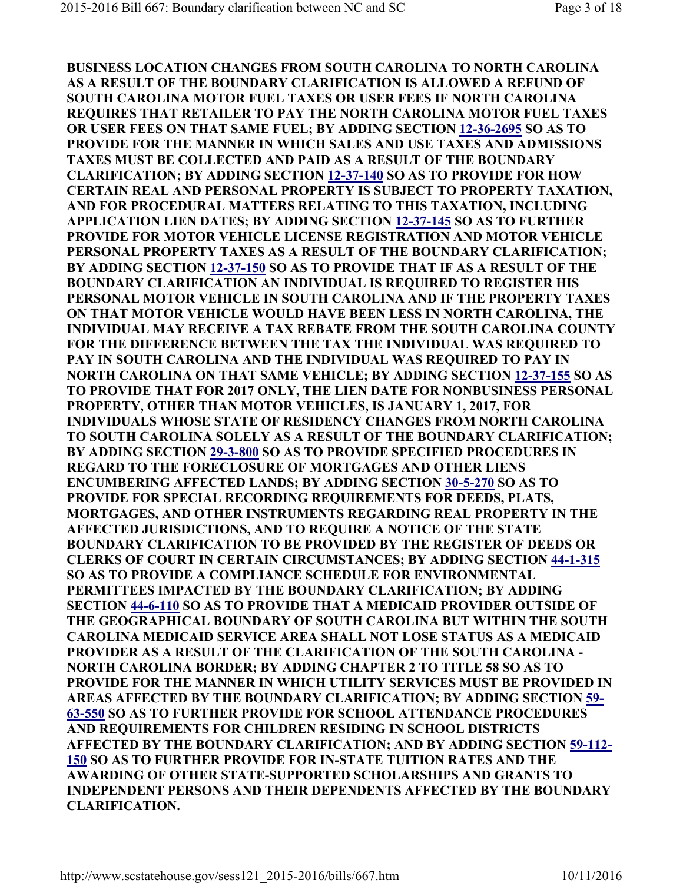BUSINESS LOCATION CHANGES FROM SOUTH CAROLINA TO NORTH CAROLINA AS A RESULT OF THE BOUNDARY CLARIFICATION IS ALLOWED A REFUND OF SOUTH CAROLINA MOTOR FUEL TAXES OR USER FEES IF NORTH CAROLINA REQUIRES THAT RETAILER TO PAY THE NORTH CAROLINA MOTOR FUEL TAXES OR USER FEES ON THAT SAME FUEL; BY ADDING SECTION 12-36-2695 SO AS TO PROVIDE FOR THE MANNER IN WHICH SALES AND USE TAXES AND ADMISSIONS TAXES MUST BE COLLECTED AND PAID AS A RESULT OF THE BOUNDARY CLARIFICATION; BY ADDING SECTION 12-37-140 SO AS TO PROVIDE FOR HOW CERTAIN REAL AND PERSONAL PROPERTY IS SUBJECT TO PROPERTY TAXATION, AND FOR PROCEDURAL MATTERS RELATING TO THIS TAXATION, INCLUDING APPLICATION LIEN DATES; BY ADDING SECTION 12-37-145 SO AS TO FURTHER PROVIDE FOR MOTOR VEHICLE LICENSE REGISTRATION AND MOTOR VEHICLE PERSONAL PROPERTY TAXES AS A RESULT OF THE BOUNDARY CLARIFICATION; BY ADDING SECTION 12-37-150 SO AS TO PROVIDE THAT IF AS A RESULT OF THE BOUNDARY CLARIFICATION AN INDIVIDUAL IS REQUIRED TO REGISTER HIS PERSONAL MOTOR VEHICLE IN SOUTH CAROLINA AND IF THE PROPERTY TAXES ON THAT MOTOR VEHICLE WOULD HAVE BEEN LESS IN NORTH CAROLINA, THE INDIVIDUAL MAY RECEIVE A TAX REBATE FROM THE SOUTH CAROLINA COUNTY FOR THE DIFFERENCE BETWEEN THE TAX THE INDIVIDUAL WAS REQUIRED TO PAY IN SOUTH CAROLINA AND THE INDIVIDUAL WAS REQUIRED TO PAY IN NORTH CAROLINA ON THAT SAME VEHICLE; BY ADDING SECTION 12-37-155 SO AS TO PROVIDE THAT FOR 2017 ONLY, THE LIEN DATE FOR NONBUSINESS PERSONAL PROPERTY, OTHER THAN MOTOR VEHICLES, IS JANUARY 1, 2017, FOR INDIVIDUALS WHOSE STATE OF RESIDENCY CHANGES FROM NORTH CAROLINA TO SOUTH CAROLINA SOLELY AS A RESULT OF THE BOUNDARY CLARIFICATION; BY ADDING SECTION 29-3-800 SO AS TO PROVIDE SPECIFIED PROCEDURES IN REGARD TO THE FORECLOSURE OF MORTGAGES AND OTHER LIENS ENCUMBERING AFFECTED LANDS; BY ADDING SECTION 30-5-270 SO AS TO PROVIDE FOR SPECIAL RECORDING REQUIREMENTS FOR DEEDS, PLATS, MORTGAGES, AND OTHER INSTRUMENTS REGARDING REAL PROPERTY IN THE AFFECTED JURISDICTIONS, AND TO REQUIRE A NOTICE OF THE STATE BOUNDARY CLARIFICATION TO BE PROVIDED BY THE REGISTER OF DEEDS OR CLERKS OF COURT IN CERTAIN CIRCUMSTANCES; BY ADDING SECTION 44-1-315 SO AS TO PROVIDE A COMPLIANCE SCHEDULE FOR ENVIRONMENTAL PERMITTEES IMPACTED BY THE BOUNDARY CLARIFICATION; BY ADDING SECTION 44-6-110 SO AS TO PROVIDE THAT A MEDICAID PROVIDER OUTSIDE OF THE GEOGRAPHICAL BOUNDARY OF SOUTH CAROLINA BUT WITHIN THE SOUTH CAROLINA MEDICAID SERVICE AREA SHALL NOT LOSE STATUS AS A MEDICAID PROVIDER AS A RESULT OF THE CLARIFICATION OF THE SOUTH CAROLINA - NORTH CAROLINA BORDER; BY ADDING CHAPTER 2 TO TITLE 58 SO AS TO PROVIDE FOR THE MANNER IN WHICH UTILITY SERVICES MUST BE PROVIDED IN AREAS AFFECTED BY THE BOUNDARY CLARIFICATION; BY ADDING SECTION 59- 63-550 SO AS TO FURTHER PROVIDE FOR SCHOOL ATTENDANCE PROCEDURES AND REQUIREMENTS FOR CHILDREN RESIDING IN SCHOOL DISTRICTS AFFECTED BY THE BOUNDARY CLARIFICATION; AND BY ADDING SECTION 59-112- 150 SO AS TO FURTHER PROVIDE FOR IN-STATE TUITION RATES AND THE AWARDING OF OTHER STATE-SUPPORTED SCHOLARSHIPS AND GRANTS TO INDEPENDENT PERSONS AND THEIR DEPENDENTS AFFECTED BY THE BOUNDARY CLARIFICATION.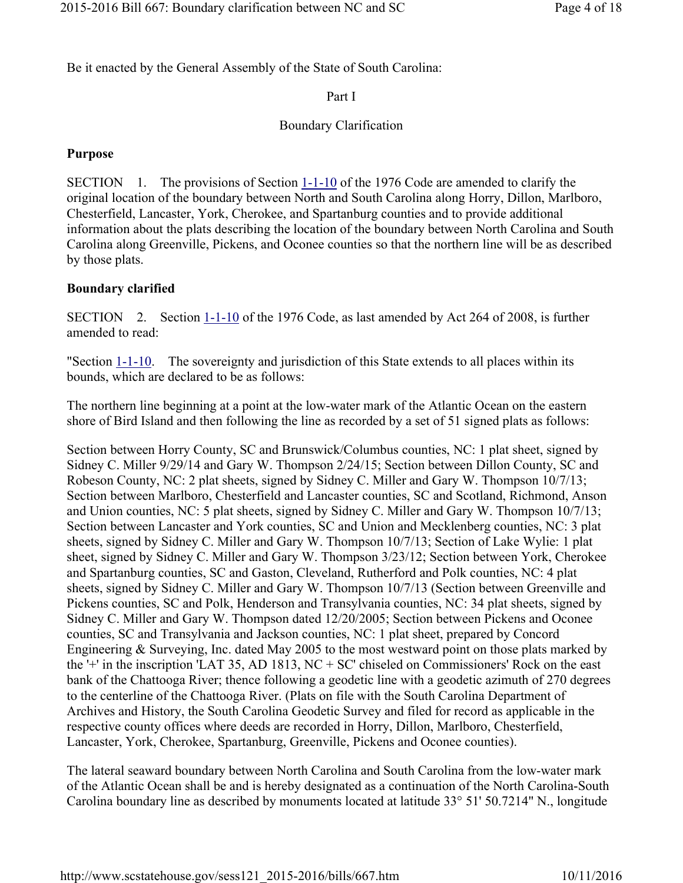Be it enacted by the General Assembly of the State of South Carolina:

# Part I

# Boundary Clarification

# Purpose

SECTION 1. The provisions of Section 1-1-10 of the 1976 Code are amended to clarify the original location of the boundary between North and South Carolina along Horry, Dillon, Marlboro, Chesterfield, Lancaster, York, Cherokee, and Spartanburg counties and to provide additional information about the plats describing the location of the boundary between North Carolina and South Carolina along Greenville, Pickens, and Oconee counties so that the northern line will be as described by those plats.

# Boundary clarified

SECTION 2. Section 1-1-10 of the 1976 Code, as last amended by Act 264 of 2008, is further amended to read:

"Section 1-1-10. The sovereignty and jurisdiction of this State extends to all places within its bounds, which are declared to be as follows:

The northern line beginning at a point at the low-water mark of the Atlantic Ocean on the eastern shore of Bird Island and then following the line as recorded by a set of 51 signed plats as follows:

Section between Horry County, SC and Brunswick/Columbus counties, NC: 1 plat sheet, signed by Sidney C. Miller 9/29/14 and Gary W. Thompson 2/24/15; Section between Dillon County, SC and Robeson County, NC: 2 plat sheets, signed by Sidney C. Miller and Gary W. Thompson 10/7/13; Section between Marlboro, Chesterfield and Lancaster counties, SC and Scotland, Richmond, Anson and Union counties, NC: 5 plat sheets, signed by Sidney C. Miller and Gary W. Thompson 10/7/13; Section between Lancaster and York counties, SC and Union and Mecklenberg counties, NC: 3 plat sheets, signed by Sidney C. Miller and Gary W. Thompson 10/7/13; Section of Lake Wylie: 1 plat sheet, signed by Sidney C. Miller and Gary W. Thompson 3/23/12; Section between York, Cherokee and Spartanburg counties, SC and Gaston, Cleveland, Rutherford and Polk counties, NC: 4 plat sheets, signed by Sidney C. Miller and Gary W. Thompson 10/7/13 (Section between Greenville and Pickens counties, SC and Polk, Henderson and Transylvania counties, NC: 34 plat sheets, signed by Sidney C. Miller and Gary W. Thompson dated 12/20/2005; Section between Pickens and Oconee counties, SC and Transylvania and Jackson counties, NC: 1 plat sheet, prepared by Concord Engineering & Surveying, Inc. dated May 2005 to the most westward point on those plats marked by the '+' in the inscription 'LAT 35, AD 1813, NC + SC' chiseled on Commissioners' Rock on the east bank of the Chattooga River; thence following a geodetic line with a geodetic azimuth of 270 degrees to the centerline of the Chattooga River. (Plats on file with the South Carolina Department of Archives and History, the South Carolina Geodetic Survey and filed for record as applicable in the respective county offices where deeds are recorded in Horry, Dillon, Marlboro, Chesterfield, Lancaster, York, Cherokee, Spartanburg, Greenville, Pickens and Oconee counties).

The lateral seaward boundary between North Carolina and South Carolina from the low-water mark of the Atlantic Ocean shall be and is hereby designated as a continuation of the North Carolina-South Carolina boundary line as described by monuments located at latitude 33° 51' 50.7214" N., longitude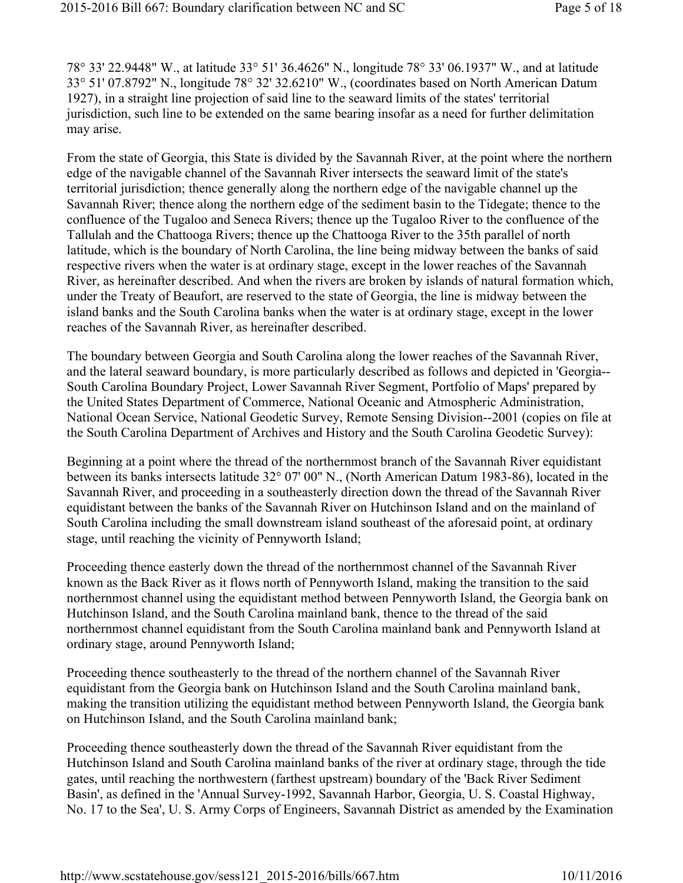78° 33' 22.9448" W., at latitude 33° 51' 36.4626" N., longitude 78° 33' 06.1937" W., and at latitude 33° 51' 07.8792" N., longitude 78° 32' 32.6210" W., (coordinates based on North American Datum 1927), in a straight line projection of said line to the seaward limits of the states' territorial jurisdiction, such line to be extended on the same bearing insofar as a need for further delimitation may arise.

From the state of Georgia, this State is divided by the Savannah River, at the point where the northern edge of the navigable channel of the Savannah River intersects the seaward limit of the state's territorial jurisdiction; thence generally along the northern edge of the navigable channel up the Savannah River; thence along the northern edge of the sediment basin to the Tidegate; thence to the confluence of the Tugaloo and Seneca Rivers; thence up the Tugaloo River to the confluence of the Tallulah and the Chattooga Rivers; thence up the Chattooga River to the 35th parallel of north latitude, which is the boundary of North Carolina, the line being midway between the banks of said respective rivers when the water is at ordinary stage, except in the lower reaches of the Savannah River, as hereinafter described. And when the rivers are broken by islands of natural formation which, under the Treaty of Beaufort, are reserved to the state of Georgia, the line is midway between the island banks and the South Carolina banks when the water is at ordinary stage, except in the lower reaches of the Savannah River, as hereinafter described.

The boundary between Georgia and South Carolina along the lower reaches of the Savannah River, and the lateral seaward boundary, is more particularly described as follows and depicted in 'Georgia-- South Carolina Boundary Project, Lower Savannah River Segment, Portfolio of Maps' prepared by the United States Department of Commerce, National Oceanic and Atmospheric Administration, National Ocean Service, National Geodetic Survey, Remote Sensing Division--2001 (copies on file at the South Carolina Department of Archives and History and the South Carolina Geodetic Survey):

Beginning at a point where the thread of the northernmost branch of the Savannah River equidistant between its banks intersects latitude 32° 07' 00" N., (North American Datum 1983-86), located in the Savannah River, and proceeding in a southeasterly direction down the thread of the Savannah River equidistant between the banks of the Savannah River on Hutchinson Island and on the mainland of South Carolina including the small downstream island southeast of the aforesaid point, at ordinary stage, until reaching the vicinity of Pennyworth Island;

Proceeding thence easterly down the thread of the northernmost channel of the Savannah River known as the Back River as it flows north of Pennyworth Island, making the transition to the said northernmost channel using the equidistant method between Pennyworth Island, the Georgia bank on Hutchinson Island, and the South Carolina mainland bank, thence to the thread of the said northernmost channel equidistant from the South Carolina mainland bank and Pennyworth Island at ordinary stage, around Pennyworth Island;

Proceeding thence southeasterly to the thread of the northern channel of the Savannah River equidistant from the Georgia bank on Hutchinson Island and the South Carolina mainland bank, making the transition utilizing the equidistant method between Pennyworth Island, the Georgia bank on Hutchinson Island, and the South Carolina mainland bank;

Proceeding thence southeasterly down the thread of the Savannah River equidistant from the Hutchinson Island and South Carolina mainland banks of the river at ordinary stage, through the tide gates, until reaching the northwestern (farthest upstream) boundary of the 'Back River Sediment Basin', as defined in the 'Annual Survey-1992, Savannah Harbor, Georgia, U. S. Coastal Highway, No. 17 to the Sea', U. S. Army Corps of Engineers, Savannah District as amended by the Examination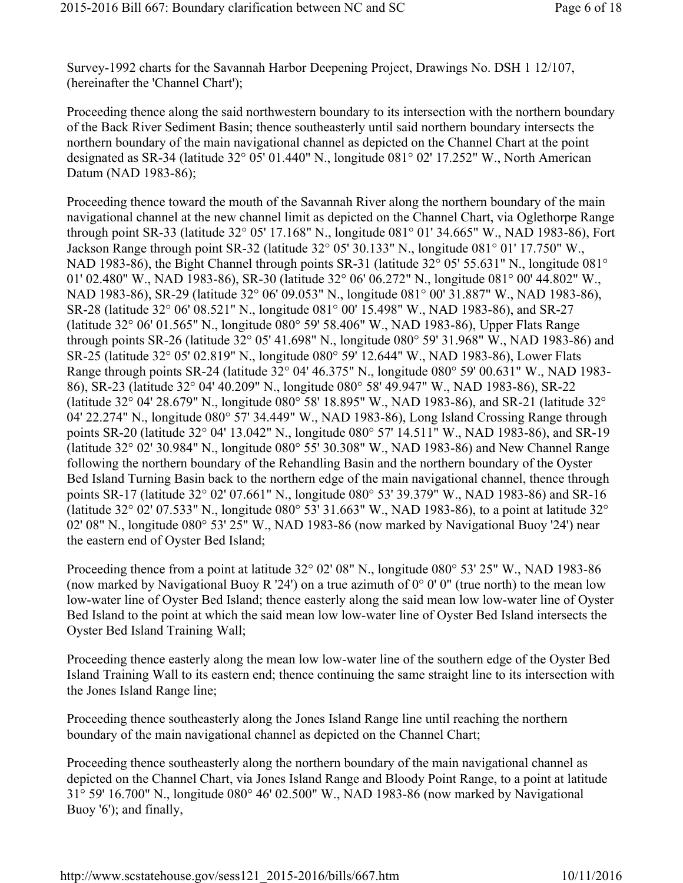Survey-1992 charts for the Savannah Harbor Deepening Project, Drawings No. DSH 1 12/107, (hereinafter the 'Channel Chart');

Proceeding thence along the said northwestern boundary to its intersection with the northern boundary of the Back River Sediment Basin; thence southeasterly until said northern boundary intersects the northern boundary of the main navigational channel as depicted on the Channel Chart at the point designated as SR-34 (latitude 32° 05' 01.440" N., longitude 081° 02' 17.252" W., North American Datum (NAD 1983-86);

Proceeding thence toward the mouth of the Savannah River along the northern boundary of the main navigational channel at the new channel limit as depicted on the Channel Chart, via Oglethorpe Range through point SR-33 (latitude 32° 05' 17.168" N., longitude 081° 01' 34.665" W., NAD 1983-86), Fort Jackson Range through point SR-32 (latitude 32° 05' 30.133" N., longitude 081° 01' 17.750" W., NAD 1983-86), the Bight Channel through points SR-31 (latitude 32° 05' 55.631" N., longitude 081° 01' 02.480" W., NAD 1983-86), SR-30 (latitude 32° 06' 06.272" N., longitude 081° 00' 44.802" W., NAD 1983-86), SR-29 (latitude 32° 06' 09.053" N., longitude 081° 00' 31.887" W., NAD 1983-86), SR-28 (latitude 32° 06' 08.521" N., longitude 081° 00' 15.498" W., NAD 1983-86), and SR-27 (latitude 32° 06' 01.565" N., longitude 080° 59' 58.406" W., NAD 1983-86), Upper Flats Range through points SR-26 (latitude 32° 05' 41.698" N., longitude 080° 59' 31.968" W., NAD 1983-86) and SR-25 (latitude 32° 05' 02.819" N., longitude 080° 59' 12.644" W., NAD 1983-86), Lower Flats Range through points SR-24 (latitude 32° 04' 46.375" N., longitude 080° 59' 00.631" W., NAD 1983- 86), SR-23 (latitude 32° 04' 40.209" N., longitude 080° 58' 49.947" W., NAD 1983-86), SR-22 (latitude 32° 04' 28.679" N., longitude 080° 58' 18.895" W., NAD 1983-86), and SR-21 (latitude 32° 04' 22.274" N., longitude 080° 57' 34.449" W., NAD 1983-86), Long Island Crossing Range through points SR-20 (latitude 32° 04' 13.042" N., longitude 080° 57' 14.511" W., NAD 1983-86), and SR-19 (latitude 32° 02' 30.984" N., longitude 080° 55' 30.308" W., NAD 1983-86) and New Channel Range following the northern boundary of the Rehandling Basin and the northern boundary of the Oyster Bed Island Turning Basin back to the northern edge of the main navigational channel, thence through points SR-17 (latitude 32° 02' 07.661" N., longitude 080° 53' 39.379" W., NAD 1983-86) and SR-16 (latitude 32° 02' 07.533" N., longitude 080° 53' 31.663" W., NAD 1983-86), to a point at latitude 32° 02' 08" N., longitude 080° 53' 25" W., NAD 1983-86 (now marked by Navigational Buoy '24') near the eastern end of Oyster Bed Island;

Proceeding thence from a point at latitude 32° 02' 08" N., longitude 080° 53' 25" W., NAD 1983-86 (now marked by Navigational Buoy R '24') on a true azimuth of  $0^{\circ}$  0' 0" (true north) to the mean low low-water line of Oyster Bed Island; thence easterly along the said mean low low-water line of Oyster Bed Island to the point at which the said mean low low-water line of Oyster Bed Island intersects the Oyster Bed Island Training Wall;

Proceeding thence easterly along the mean low low-water line of the southern edge of the Oyster Bed Island Training Wall to its eastern end; thence continuing the same straight line to its intersection with the Jones Island Range line;

Proceeding thence southeasterly along the Jones Island Range line until reaching the northern boundary of the main navigational channel as depicted on the Channel Chart;

Proceeding thence southeasterly along the northern boundary of the main navigational channel as depicted on the Channel Chart, via Jones Island Range and Bloody Point Range, to a point at latitude 31° 59' 16.700" N., longitude 080° 46' 02.500" W., NAD 1983-86 (now marked by Navigational Buoy '6'); and finally,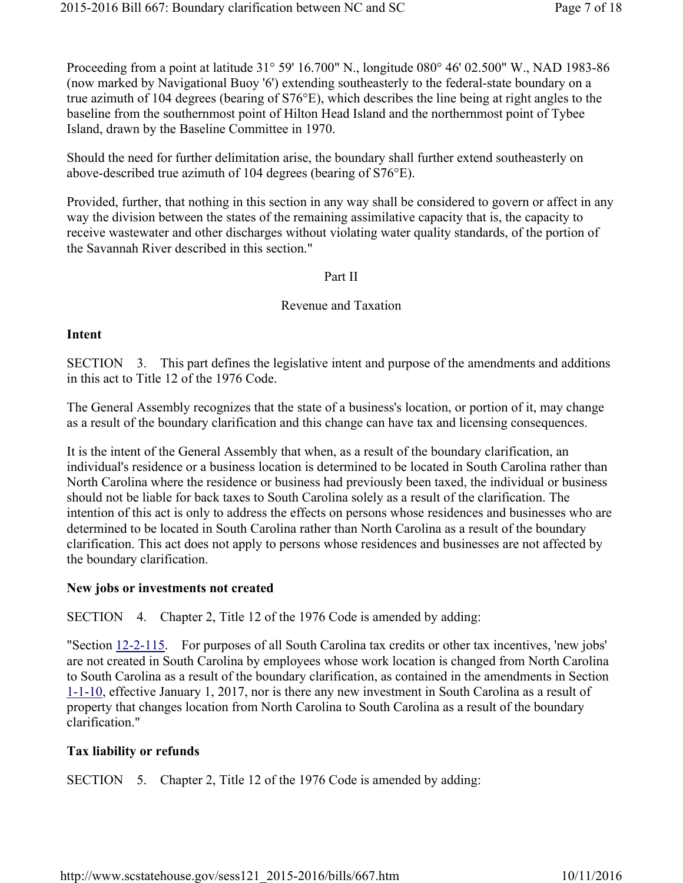Proceeding from a point at latitude 31° 59' 16.700" N., longitude 080° 46' 02.500" W., NAD 1983-86 (now marked by Navigational Buoy '6') extending southeasterly to the federal-state boundary on a true azimuth of 104 degrees (bearing of S76°E), which describes the line being at right angles to the baseline from the southernmost point of Hilton Head Island and the northernmost point of Tybee Island, drawn by the Baseline Committee in 1970.

Should the need for further delimitation arise, the boundary shall further extend southeasterly on above-described true azimuth of 104 degrees (bearing of S76°E).

Provided, further, that nothing in this section in any way shall be considered to govern or affect in any way the division between the states of the remaining assimilative capacity that is, the capacity to receive wastewater and other discharges without violating water quality standards, of the portion of the Savannah River described in this section."

### Part II

### Revenue and Taxation

### Intent

SECTION 3. This part defines the legislative intent and purpose of the amendments and additions in this act to Title 12 of the 1976 Code.

The General Assembly recognizes that the state of a business's location, or portion of it, may change as a result of the boundary clarification and this change can have tax and licensing consequences.

It is the intent of the General Assembly that when, as a result of the boundary clarification, an individual's residence or a business location is determined to be located in South Carolina rather than North Carolina where the residence or business had previously been taxed, the individual or business should not be liable for back taxes to South Carolina solely as a result of the clarification. The intention of this act is only to address the effects on persons whose residences and businesses who are determined to be located in South Carolina rather than North Carolina as a result of the boundary clarification. This act does not apply to persons whose residences and businesses are not affected by the boundary clarification.

### New jobs or investments not created

SECTION 4. Chapter 2, Title 12 of the 1976 Code is amended by adding:

"Section 12-2-115. For purposes of all South Carolina tax credits or other tax incentives, 'new jobs' are not created in South Carolina by employees whose work location is changed from North Carolina to South Carolina as a result of the boundary clarification, as contained in the amendments in Section 1-1-10, effective January 1, 2017, nor is there any new investment in South Carolina as a result of property that changes location from North Carolina to South Carolina as a result of the boundary clarification."

# Tax liability or refunds

SECTION 5. Chapter 2, Title 12 of the 1976 Code is amended by adding: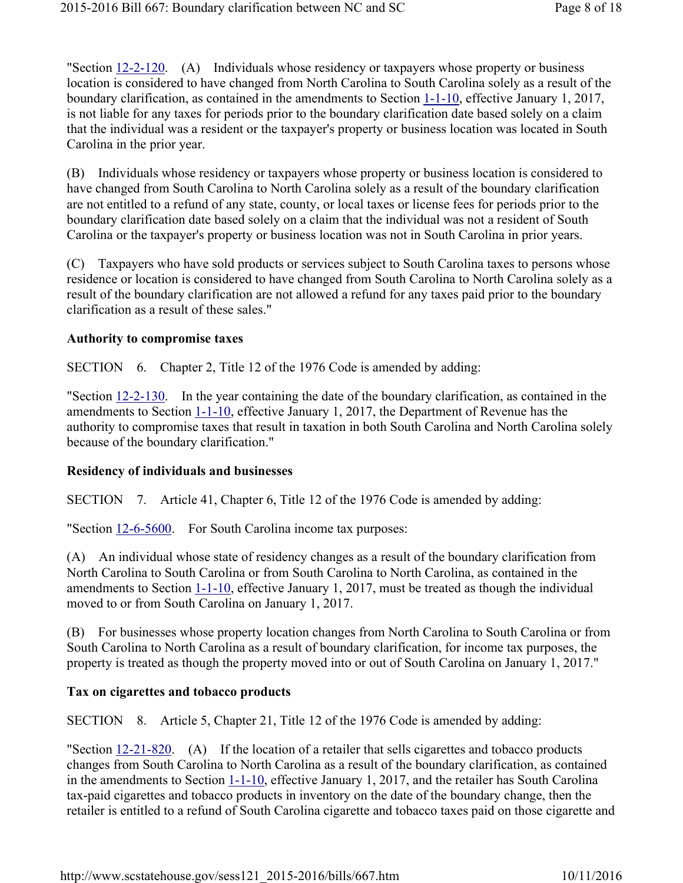"Section 12-2-120. (A) Individuals whose residency or taxpayers whose property or business location is considered to have changed from North Carolina to South Carolina solely as a result of the boundary clarification, as contained in the amendments to Section 1-1-10, effective January 1, 2017, is not liable for any taxes for periods prior to the boundary clarification date based solely on a claim that the individual was a resident or the taxpayer's property or business location was located in South Carolina in the prior year.

(B) Individuals whose residency or taxpayers whose property or business location is considered to have changed from South Carolina to North Carolina solely as a result of the boundary clarification are not entitled to a refund of any state, county, or local taxes or license fees for periods prior to the boundary clarification date based solely on a claim that the individual was not a resident of South Carolina or the taxpayer's property or business location was not in South Carolina in prior years.

(C) Taxpayers who have sold products or services subject to South Carolina taxes to persons whose residence or location is considered to have changed from South Carolina to North Carolina solely as a result of the boundary clarification are not allowed a refund for any taxes paid prior to the boundary clarification as a result of these sales."

#### Authority to compromise taxes

SECTION 6. Chapter 2, Title 12 of the 1976 Code is amended by adding:

"Section 12-2-130. In the year containing the date of the boundary clarification, as contained in the amendments to Section 1-1-10, effective January 1, 2017, the Department of Revenue has the authority to compromise taxes that result in taxation in both South Carolina and North Carolina solely because of the boundary clarification."

#### Residency of individuals and businesses

SECTION 7. Article 41, Chapter 6, Title 12 of the 1976 Code is amended by adding:

"Section 12-6-5600. For South Carolina income tax purposes:

(A) An individual whose state of residency changes as a result of the boundary clarification from North Carolina to South Carolina or from South Carolina to North Carolina, as contained in the amendments to Section 1-1-10, effective January 1, 2017, must be treated as though the individual moved to or from South Carolina on January 1, 2017.

(B) For businesses whose property location changes from North Carolina to South Carolina or from South Carolina to North Carolina as a result of boundary clarification, for income tax purposes, the property is treated as though the property moved into or out of South Carolina on January 1, 2017."

#### Tax on cigarettes and tobacco products

SECTION 8. Article 5, Chapter 21, Title 12 of the 1976 Code is amended by adding:

"Section 12-21-820. (A) If the location of a retailer that sells cigarettes and tobacco products changes from South Carolina to North Carolina as a result of the boundary clarification, as contained in the amendments to Section 1-1-10, effective January 1, 2017, and the retailer has South Carolina tax-paid cigarettes and tobacco products in inventory on the date of the boundary change, then the retailer is entitled to a refund of South Carolina cigarette and tobacco taxes paid on those cigarette and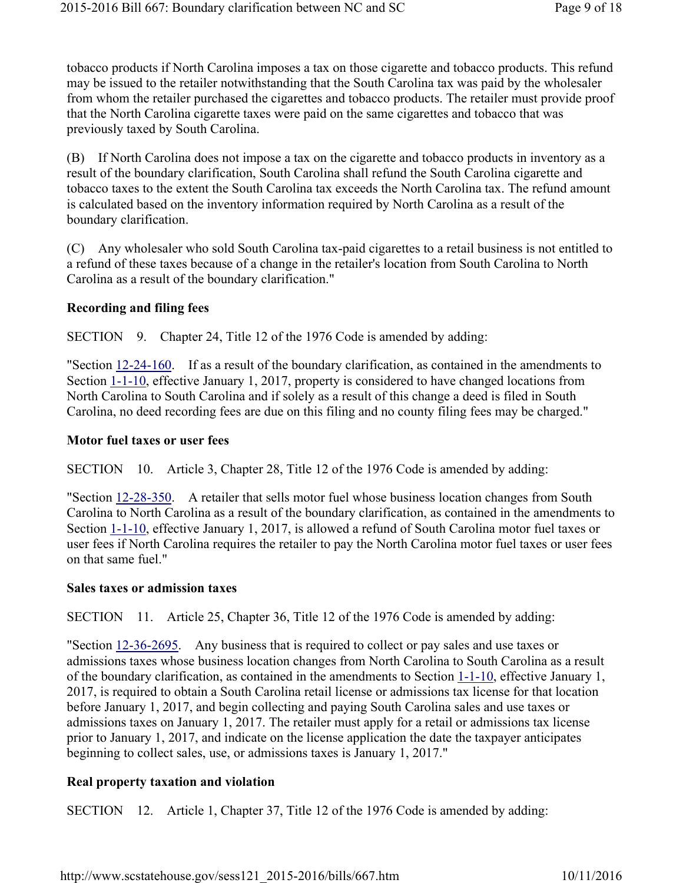tobacco products if North Carolina imposes a tax on those cigarette and tobacco products. This refund may be issued to the retailer notwithstanding that the South Carolina tax was paid by the wholesaler from whom the retailer purchased the cigarettes and tobacco products. The retailer must provide proof that the North Carolina cigarette taxes were paid on the same cigarettes and tobacco that was previously taxed by South Carolina.

(B) If North Carolina does not impose a tax on the cigarette and tobacco products in inventory as a result of the boundary clarification, South Carolina shall refund the South Carolina cigarette and tobacco taxes to the extent the South Carolina tax exceeds the North Carolina tax. The refund amount is calculated based on the inventory information required by North Carolina as a result of the boundary clarification.

(C) Any wholesaler who sold South Carolina tax-paid cigarettes to a retail business is not entitled to a refund of these taxes because of a change in the retailer's location from South Carolina to North Carolina as a result of the boundary clarification."

### Recording and filing fees

SECTION 9. Chapter 24, Title 12 of the 1976 Code is amended by adding:

"Section 12-24-160. If as a result of the boundary clarification, as contained in the amendments to Section 1-1-10, effective January 1, 2017, property is considered to have changed locations from North Carolina to South Carolina and if solely as a result of this change a deed is filed in South Carolina, no deed recording fees are due on this filing and no county filing fees may be charged."

### Motor fuel taxes or user fees

SECTION 10. Article 3, Chapter 28, Title 12 of the 1976 Code is amended by adding:

"Section 12-28-350. A retailer that sells motor fuel whose business location changes from South Carolina to North Carolina as a result of the boundary clarification, as contained in the amendments to Section 1-1-10, effective January 1, 2017, is allowed a refund of South Carolina motor fuel taxes or user fees if North Carolina requires the retailer to pay the North Carolina motor fuel taxes or user fees on that same fuel."

### Sales taxes or admission taxes

SECTION 11. Article 25, Chapter 36, Title 12 of the 1976 Code is amended by adding:

"Section 12-36-2695. Any business that is required to collect or pay sales and use taxes or admissions taxes whose business location changes from North Carolina to South Carolina as a result of the boundary clarification, as contained in the amendments to Section 1-1-10, effective January 1, 2017, is required to obtain a South Carolina retail license or admissions tax license for that location before January 1, 2017, and begin collecting and paying South Carolina sales and use taxes or admissions taxes on January 1, 2017. The retailer must apply for a retail or admissions tax license prior to January 1, 2017, and indicate on the license application the date the taxpayer anticipates beginning to collect sales, use, or admissions taxes is January 1, 2017."

# Real property taxation and violation

SECTION 12. Article 1, Chapter 37, Title 12 of the 1976 Code is amended by adding: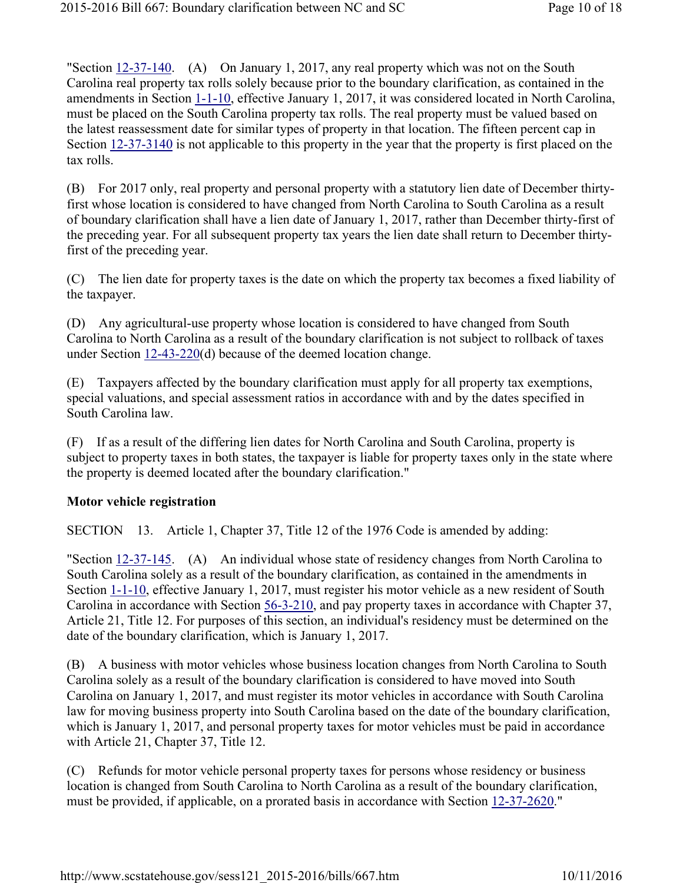"Section  $12-37-140$ . (A) On January 1, 2017, any real property which was not on the South Carolina real property tax rolls solely because prior to the boundary clarification, as contained in the amendments in Section 1-1-10, effective January 1, 2017, it was considered located in North Carolina, must be placed on the South Carolina property tax rolls. The real property must be valued based on the latest reassessment date for similar types of property in that location. The fifteen percent cap in Section  $12-37-3140$  is not applicable to this property in the year that the property is first placed on the tax rolls.

(B) For 2017 only, real property and personal property with a statutory lien date of December thirtyfirst whose location is considered to have changed from North Carolina to South Carolina as a result of boundary clarification shall have a lien date of January 1, 2017, rather than December thirty-first of the preceding year. For all subsequent property tax years the lien date shall return to December thirtyfirst of the preceding year.

(C) The lien date for property taxes is the date on which the property tax becomes a fixed liability of the taxpayer.

(D) Any agricultural-use property whose location is considered to have changed from South Carolina to North Carolina as a result of the boundary clarification is not subject to rollback of taxes under Section 12-43-220(d) because of the deemed location change.

(E) Taxpayers affected by the boundary clarification must apply for all property tax exemptions, special valuations, and special assessment ratios in accordance with and by the dates specified in South Carolina law.

(F) If as a result of the differing lien dates for North Carolina and South Carolina, property is subject to property taxes in both states, the taxpayer is liable for property taxes only in the state where the property is deemed located after the boundary clarification."

### Motor vehicle registration

SECTION 13. Article 1, Chapter 37, Title 12 of the 1976 Code is amended by adding:

"Section 12-37-145. (A) An individual whose state of residency changes from North Carolina to South Carolina solely as a result of the boundary clarification, as contained in the amendments in Section 1-1-10, effective January 1, 2017, must register his motor vehicle as a new resident of South Carolina in accordance with Section 56-3-210, and pay property taxes in accordance with Chapter 37, Article 21, Title 12. For purposes of this section, an individual's residency must be determined on the date of the boundary clarification, which is January 1, 2017.

(B) A business with motor vehicles whose business location changes from North Carolina to South Carolina solely as a result of the boundary clarification is considered to have moved into South Carolina on January 1, 2017, and must register its motor vehicles in accordance with South Carolina law for moving business property into South Carolina based on the date of the boundary clarification, which is January 1, 2017, and personal property taxes for motor vehicles must be paid in accordance with Article 21, Chapter 37, Title 12.

(C) Refunds for motor vehicle personal property taxes for persons whose residency or business location is changed from South Carolina to North Carolina as a result of the boundary clarification, must be provided, if applicable, on a prorated basis in accordance with Section 12-37-2620."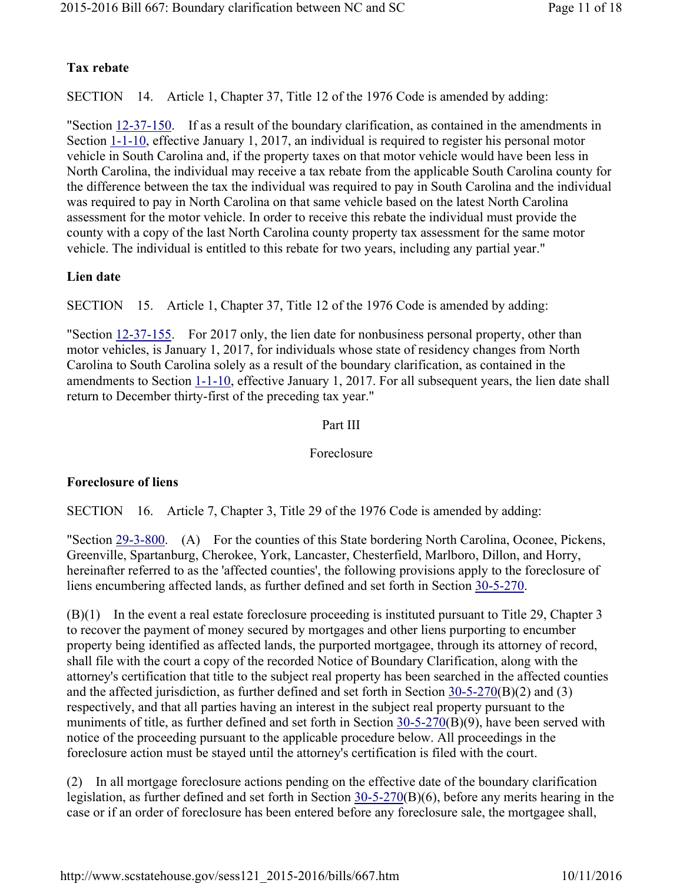# Tax rebate

SECTION 14. Article 1, Chapter 37, Title 12 of the 1976 Code is amended by adding:

"Section 12-37-150. If as a result of the boundary clarification, as contained in the amendments in Section 1-1-10, effective January 1, 2017, an individual is required to register his personal motor vehicle in South Carolina and, if the property taxes on that motor vehicle would have been less in North Carolina, the individual may receive a tax rebate from the applicable South Carolina county for the difference between the tax the individual was required to pay in South Carolina and the individual was required to pay in North Carolina on that same vehicle based on the latest North Carolina assessment for the motor vehicle. In order to receive this rebate the individual must provide the county with a copy of the last North Carolina county property tax assessment for the same motor vehicle. The individual is entitled to this rebate for two years, including any partial year."

### Lien date

SECTION 15. Article 1, Chapter 37, Title 12 of the 1976 Code is amended by adding:

"Section 12-37-155. For 2017 only, the lien date for nonbusiness personal property, other than motor vehicles, is January 1, 2017, for individuals whose state of residency changes from North Carolina to South Carolina solely as a result of the boundary clarification, as contained in the amendments to Section 1-1-10, effective January 1, 2017. For all subsequent years, the lien date shall return to December thirty-first of the preceding tax year."

### Part III

### Foreclosure

### Foreclosure of liens

SECTION 16. Article 7, Chapter 3, Title 29 of the 1976 Code is amended by adding:

"Section 29-3-800. (A) For the counties of this State bordering North Carolina, Oconee, Pickens, Greenville, Spartanburg, Cherokee, York, Lancaster, Chesterfield, Marlboro, Dillon, and Horry, hereinafter referred to as the 'affected counties', the following provisions apply to the foreclosure of liens encumbering affected lands, as further defined and set forth in Section 30-5-270.

(B)(1) In the event a real estate foreclosure proceeding is instituted pursuant to Title 29, Chapter 3 to recover the payment of money secured by mortgages and other liens purporting to encumber property being identified as affected lands, the purported mortgagee, through its attorney of record, shall file with the court a copy of the recorded Notice of Boundary Clarification, along with the attorney's certification that title to the subject real property has been searched in the affected counties and the affected jurisdiction, as further defined and set forth in Section 30-5-270(B)(2) and (3) respectively, and that all parties having an interest in the subject real property pursuant to the muniments of title, as further defined and set forth in Section 30-5-270(B)(9), have been served with notice of the proceeding pursuant to the applicable procedure below. All proceedings in the foreclosure action must be stayed until the attorney's certification is filed with the court.

(2) In all mortgage foreclosure actions pending on the effective date of the boundary clarification legislation, as further defined and set forth in Section 30-5-270(B)(6), before any merits hearing in the case or if an order of foreclosure has been entered before any foreclosure sale, the mortgagee shall,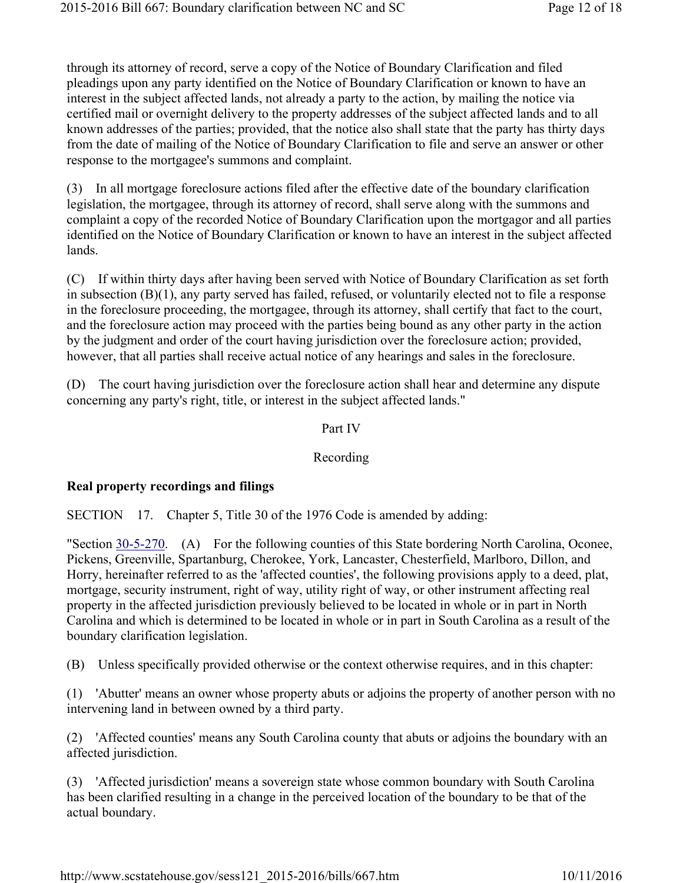through its attorney of record, serve a copy of the Notice of Boundary Clarification and filed pleadings upon any party identified on the Notice of Boundary Clarification or known to have an interest in the subject affected lands, not already a party to the action, by mailing the notice via certified mail or overnight delivery to the property addresses of the subject affected lands and to all known addresses of the parties; provided, that the notice also shall state that the party has thirty days from the date of mailing of the Notice of Boundary Clarification to file and serve an answer or other response to the mortgagee's summons and complaint.

(3) In all mortgage foreclosure actions filed after the effective date of the boundary clarification legislation, the mortgagee, through its attorney of record, shall serve along with the summons and complaint a copy of the recorded Notice of Boundary Clarification upon the mortgagor and all parties identified on the Notice of Boundary Clarification or known to have an interest in the subject affected lands.

(C) If within thirty days after having been served with Notice of Boundary Clarification as set forth in subsection (B)(1), any party served has failed, refused, or voluntarily elected not to file a response in the foreclosure proceeding, the mortgagee, through its attorney, shall certify that fact to the court, and the foreclosure action may proceed with the parties being bound as any other party in the action by the judgment and order of the court having jurisdiction over the foreclosure action; provided, however, that all parties shall receive actual notice of any hearings and sales in the foreclosure.

(D) The court having jurisdiction over the foreclosure action shall hear and determine any dispute concerning any party's right, title, or interest in the subject affected lands."

### Part IV

### Recording

# Real property recordings and filings

SECTION 17. Chapter 5, Title 30 of the 1976 Code is amended by adding:

"Section 30-5-270. (A) For the following counties of this State bordering North Carolina, Oconee, Pickens, Greenville, Spartanburg, Cherokee, York, Lancaster, Chesterfield, Marlboro, Dillon, and Horry, hereinafter referred to as the 'affected counties', the following provisions apply to a deed, plat, mortgage, security instrument, right of way, utility right of way, or other instrument affecting real property in the affected jurisdiction previously believed to be located in whole or in part in North Carolina and which is determined to be located in whole or in part in South Carolina as a result of the boundary clarification legislation.

(B) Unless specifically provided otherwise or the context otherwise requires, and in this chapter:

(1) 'Abutter' means an owner whose property abuts or adjoins the property of another person with no intervening land in between owned by a third party.

(2) 'Affected counties' means any South Carolina county that abuts or adjoins the boundary with an affected jurisdiction.

(3) 'Affected jurisdiction' means a sovereign state whose common boundary with South Carolina has been clarified resulting in a change in the perceived location of the boundary to be that of the actual boundary.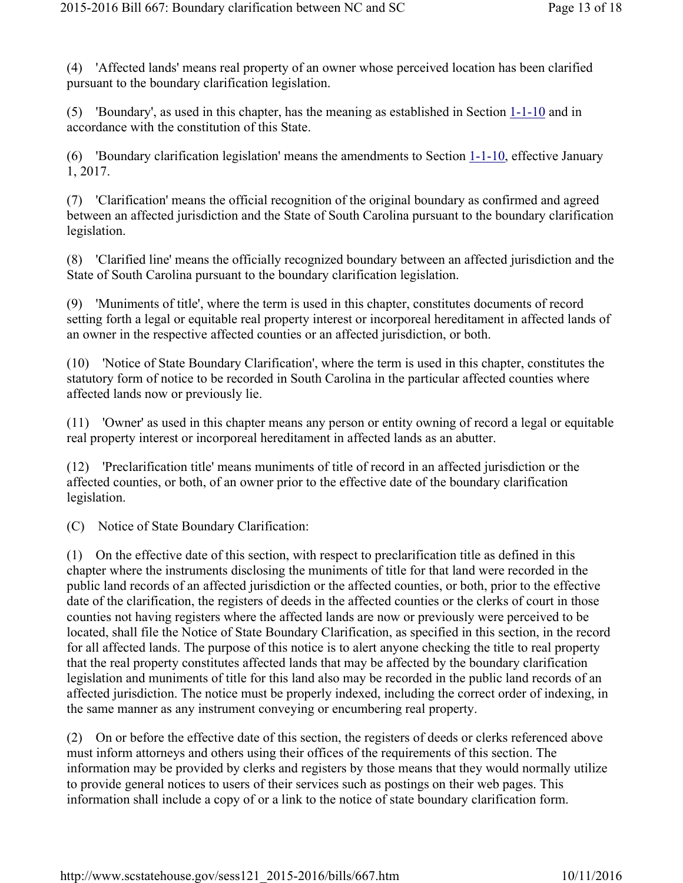(4) 'Affected lands' means real property of an owner whose perceived location has been clarified pursuant to the boundary clarification legislation.

(5) 'Boundary', as used in this chapter, has the meaning as established in Section 1-1-10 and in accordance with the constitution of this State.

(6) 'Boundary clarification legislation' means the amendments to Section 1-1-10, effective January 1, 2017.

(7) 'Clarification' means the official recognition of the original boundary as confirmed and agreed between an affected jurisdiction and the State of South Carolina pursuant to the boundary clarification legislation.

(8) 'Clarified line' means the officially recognized boundary between an affected jurisdiction and the State of South Carolina pursuant to the boundary clarification legislation.

(9) 'Muniments of title', where the term is used in this chapter, constitutes documents of record setting forth a legal or equitable real property interest or incorporeal hereditament in affected lands of an owner in the respective affected counties or an affected jurisdiction, or both.

(10) 'Notice of State Boundary Clarification', where the term is used in this chapter, constitutes the statutory form of notice to be recorded in South Carolina in the particular affected counties where affected lands now or previously lie.

(11) 'Owner' as used in this chapter means any person or entity owning of record a legal or equitable real property interest or incorporeal hereditament in affected lands as an abutter.

(12) 'Preclarification title' means muniments of title of record in an affected jurisdiction or the affected counties, or both, of an owner prior to the effective date of the boundary clarification legislation.

(C) Notice of State Boundary Clarification:

(1) On the effective date of this section, with respect to preclarification title as defined in this chapter where the instruments disclosing the muniments of title for that land were recorded in the public land records of an affected jurisdiction or the affected counties, or both, prior to the effective date of the clarification, the registers of deeds in the affected counties or the clerks of court in those counties not having registers where the affected lands are now or previously were perceived to be located, shall file the Notice of State Boundary Clarification, as specified in this section, in the record for all affected lands. The purpose of this notice is to alert anyone checking the title to real property that the real property constitutes affected lands that may be affected by the boundary clarification legislation and muniments of title for this land also may be recorded in the public land records of an affected jurisdiction. The notice must be properly indexed, including the correct order of indexing, in the same manner as any instrument conveying or encumbering real property.

(2) On or before the effective date of this section, the registers of deeds or clerks referenced above must inform attorneys and others using their offices of the requirements of this section. The information may be provided by clerks and registers by those means that they would normally utilize to provide general notices to users of their services such as postings on their web pages. This information shall include a copy of or a link to the notice of state boundary clarification form.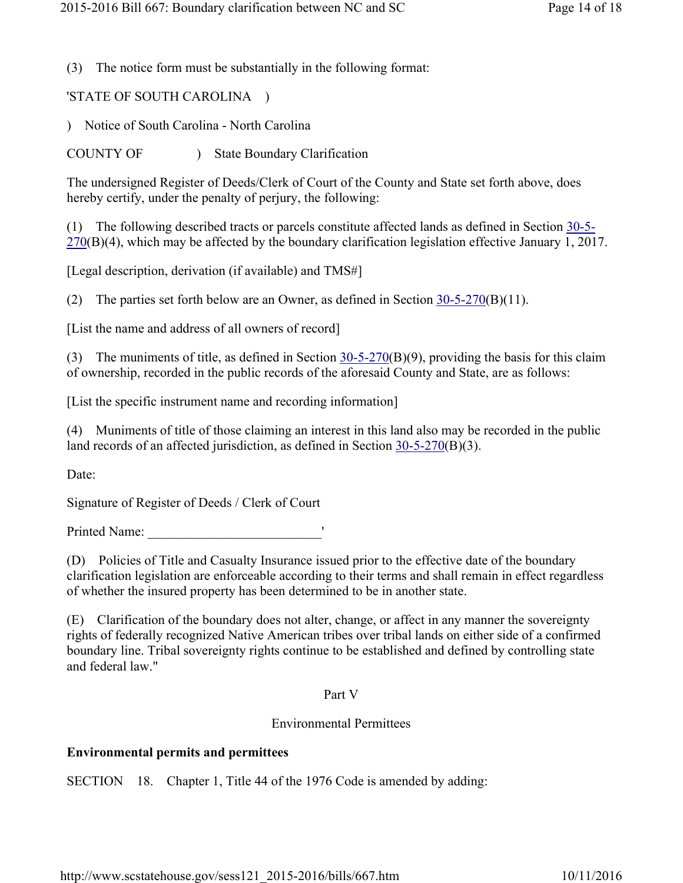(3) The notice form must be substantially in the following format:

'STATE OF SOUTH CAROLINA )

) Notice of South Carolina - North Carolina

COUNTY OF ) State Boundary Clarification

The undersigned Register of Deeds/Clerk of Court of the County and State set forth above, does hereby certify, under the penalty of perjury, the following:

(1) The following described tracts or parcels constitute affected lands as defined in Section 30-5- 270(B)(4), which may be affected by the boundary clarification legislation effective January 1, 2017.

[Legal description, derivation (if available) and TMS#]

(2) The parties set forth below are an Owner, as defined in Section 30-5-270(B)(11).

[List the name and address of all owners of record]

(3) The muniments of title, as defined in Section 30-5-270(B)(9), providing the basis for this claim of ownership, recorded in the public records of the aforesaid County and State, are as follows:

[List the specific instrument name and recording information]

(4) Muniments of title of those claiming an interest in this land also may be recorded in the public land records of an affected jurisdiction, as defined in Section 30-5-270(B)(3).

Date:

Signature of Register of Deeds / Clerk of Court

Printed Name: \_\_\_\_\_\_\_\_\_\_\_\_\_\_\_\_\_\_\_\_\_\_\_\_\_\_'

(D) Policies of Title and Casualty Insurance issued prior to the effective date of the boundary clarification legislation are enforceable according to their terms and shall remain in effect regardless of whether the insured property has been determined to be in another state.

(E) Clarification of the boundary does not alter, change, or affect in any manner the sovereignty rights of federally recognized Native American tribes over tribal lands on either side of a confirmed boundary line. Tribal sovereignty rights continue to be established and defined by controlling state and federal law."

#### Part V

### Environmental Permittees

### Environmental permits and permittees

SECTION 18. Chapter 1, Title 44 of the 1976 Code is amended by adding: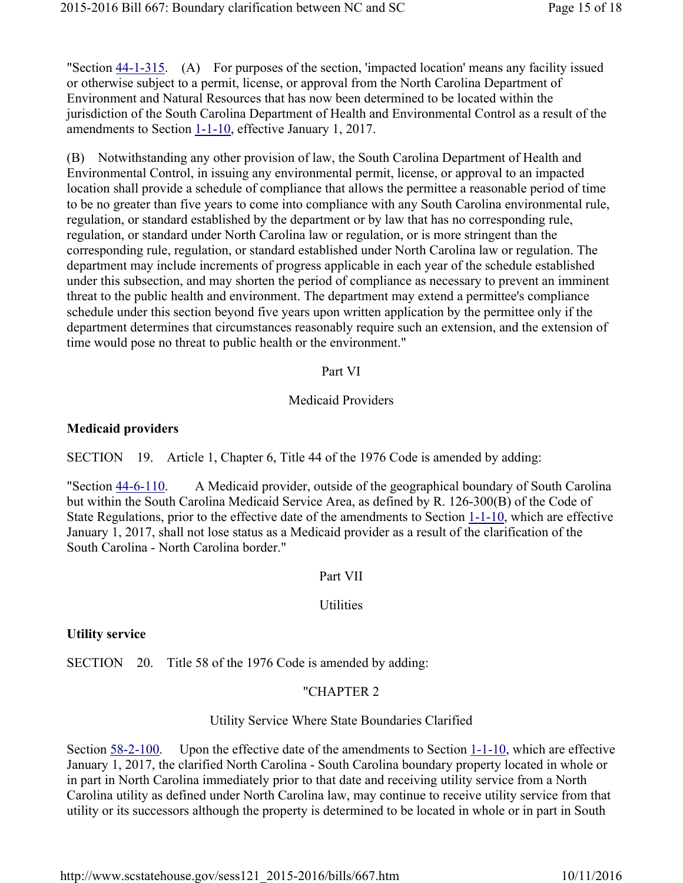"Section 44-1-315. (A) For purposes of the section, 'impacted location' means any facility issued or otherwise subject to a permit, license, or approval from the North Carolina Department of Environment and Natural Resources that has now been determined to be located within the jurisdiction of the South Carolina Department of Health and Environmental Control as a result of the amendments to Section 1-1-10, effective January 1, 2017.

(B) Notwithstanding any other provision of law, the South Carolina Department of Health and Environmental Control, in issuing any environmental permit, license, or approval to an impacted location shall provide a schedule of compliance that allows the permittee a reasonable period of time to be no greater than five years to come into compliance with any South Carolina environmental rule, regulation, or standard established by the department or by law that has no corresponding rule, regulation, or standard under North Carolina law or regulation, or is more stringent than the corresponding rule, regulation, or standard established under North Carolina law or regulation. The department may include increments of progress applicable in each year of the schedule established under this subsection, and may shorten the period of compliance as necessary to prevent an imminent threat to the public health and environment. The department may extend a permittee's compliance schedule under this section beyond five years upon written application by the permittee only if the department determines that circumstances reasonably require such an extension, and the extension of time would pose no threat to public health or the environment."

### Part VI

# Medicaid Providers

# Medicaid providers

SECTION 19. Article 1, Chapter 6, Title 44 of the 1976 Code is amended by adding:

"Section 44-6-110. A Medicaid provider, outside of the geographical boundary of South Carolina but within the South Carolina Medicaid Service Area, as defined by R. 126-300(B) of the Code of State Regulations, prior to the effective date of the amendments to Section 1-1-10, which are effective January 1, 2017, shall not lose status as a Medicaid provider as a result of the clarification of the South Carolina - North Carolina border."

# Part VII

# Utilities

# Utility service

SECTION 20. Title 58 of the 1976 Code is amended by adding:

# "CHAPTER 2

# Utility Service Where State Boundaries Clarified

Section 58-2-100. Upon the effective date of the amendments to Section 1-1-10, which are effective January 1, 2017, the clarified North Carolina - South Carolina boundary property located in whole or in part in North Carolina immediately prior to that date and receiving utility service from a North Carolina utility as defined under North Carolina law, may continue to receive utility service from that utility or its successors although the property is determined to be located in whole or in part in South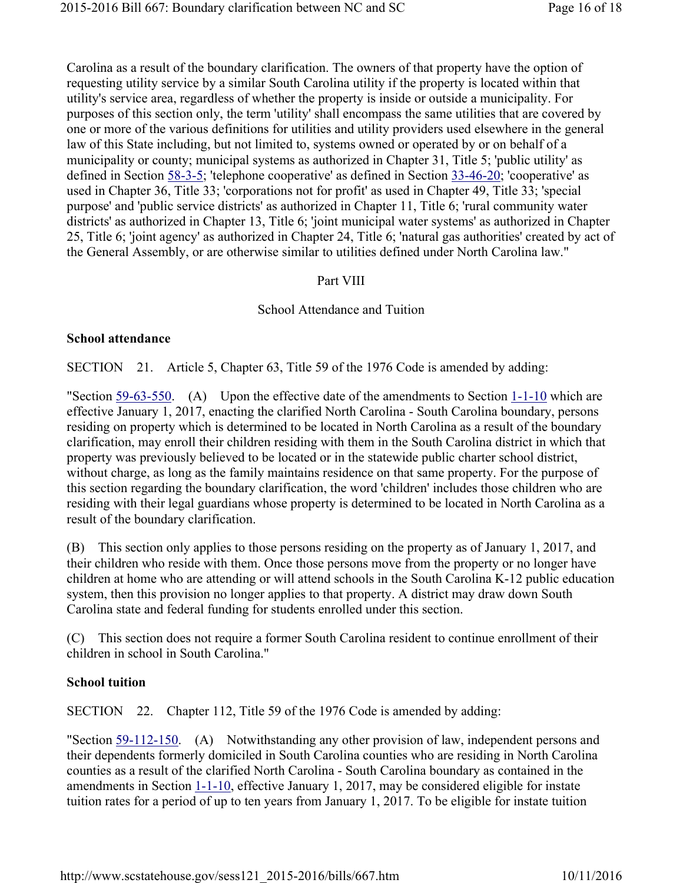Carolina as a result of the boundary clarification. The owners of that property have the option of requesting utility service by a similar South Carolina utility if the property is located within that utility's service area, regardless of whether the property is inside or outside a municipality. For purposes of this section only, the term 'utility' shall encompass the same utilities that are covered by one or more of the various definitions for utilities and utility providers used elsewhere in the general law of this State including, but not limited to, systems owned or operated by or on behalf of a municipality or county; municipal systems as authorized in Chapter 31, Title 5; 'public utility' as defined in Section 58-3-5; 'telephone cooperative' as defined in Section 33-46-20; 'cooperative' as used in Chapter 36, Title 33; 'corporations not for profit' as used in Chapter 49, Title 33; 'special purpose' and 'public service districts' as authorized in Chapter 11, Title 6; 'rural community water districts' as authorized in Chapter 13, Title 6; 'joint municipal water systems' as authorized in Chapter 25, Title 6; 'joint agency' as authorized in Chapter 24, Title 6; 'natural gas authorities' created by act of the General Assembly, or are otherwise similar to utilities defined under North Carolina law."

#### Part VIII

#### School Attendance and Tuition

#### School attendance

SECTION 21. Article 5, Chapter 63, Title 59 of the 1976 Code is amended by adding:

"Section 59-63-550. (A) Upon the effective date of the amendments to Section 1-1-10 which are effective January 1, 2017, enacting the clarified North Carolina - South Carolina boundary, persons residing on property which is determined to be located in North Carolina as a result of the boundary clarification, may enroll their children residing with them in the South Carolina district in which that property was previously believed to be located or in the statewide public charter school district, without charge, as long as the family maintains residence on that same property. For the purpose of this section regarding the boundary clarification, the word 'children' includes those children who are residing with their legal guardians whose property is determined to be located in North Carolina as a result of the boundary clarification.

(B) This section only applies to those persons residing on the property as of January 1, 2017, and their children who reside with them. Once those persons move from the property or no longer have children at home who are attending or will attend schools in the South Carolina K-12 public education system, then this provision no longer applies to that property. A district may draw down South Carolina state and federal funding for students enrolled under this section.

(C) This section does not require a former South Carolina resident to continue enrollment of their children in school in South Carolina."

### School tuition

SECTION 22. Chapter 112, Title 59 of the 1976 Code is amended by adding:

"Section 59-112-150. (A) Notwithstanding any other provision of law, independent persons and their dependents formerly domiciled in South Carolina counties who are residing in North Carolina counties as a result of the clarified North Carolina - South Carolina boundary as contained in the amendments in Section 1-1-10, effective January 1, 2017, may be considered eligible for instate tuition rates for a period of up to ten years from January 1, 2017. To be eligible for instate tuition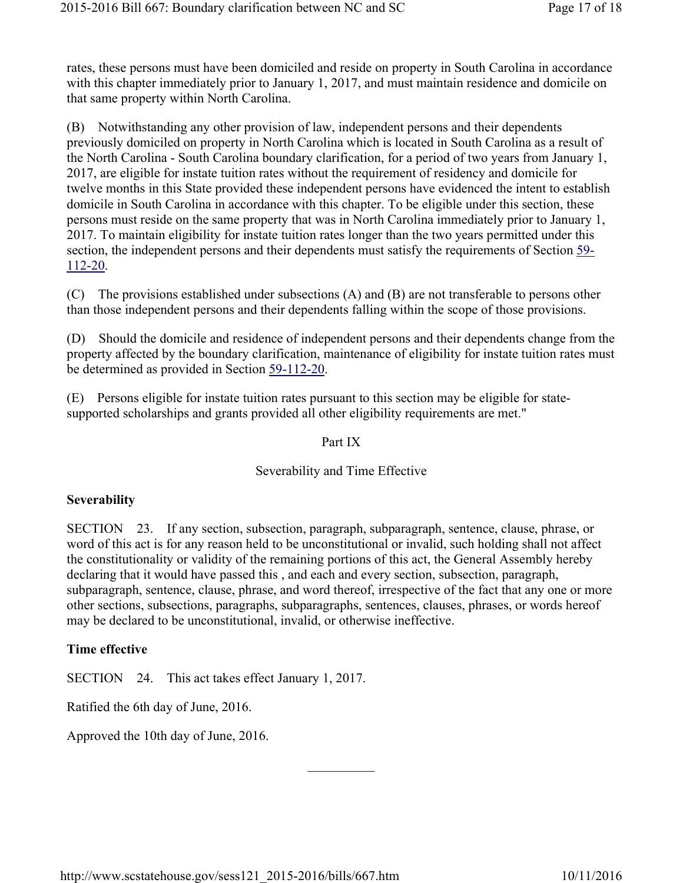rates, these persons must have been domiciled and reside on property in South Carolina in accordance with this chapter immediately prior to January 1, 2017, and must maintain residence and domicile on that same property within North Carolina.

(B) Notwithstanding any other provision of law, independent persons and their dependents previously domiciled on property in North Carolina which is located in South Carolina as a result of the North Carolina - South Carolina boundary clarification, for a period of two years from January 1, 2017, are eligible for instate tuition rates without the requirement of residency and domicile for twelve months in this State provided these independent persons have evidenced the intent to establish domicile in South Carolina in accordance with this chapter. To be eligible under this section, these persons must reside on the same property that was in North Carolina immediately prior to January 1, 2017. To maintain eligibility for instate tuition rates longer than the two years permitted under this section, the independent persons and their dependents must satisfy the requirements of Section 59- 112-20.

(C) The provisions established under subsections (A) and (B) are not transferable to persons other than those independent persons and their dependents falling within the scope of those provisions.

(D) Should the domicile and residence of independent persons and their dependents change from the property affected by the boundary clarification, maintenance of eligibility for instate tuition rates must be determined as provided in Section 59-112-20.

(E) Persons eligible for instate tuition rates pursuant to this section may be eligible for statesupported scholarships and grants provided all other eligibility requirements are met."

### Part IX

### Severability and Time Effective

### **Severability**

SECTION 23. If any section, subsection, paragraph, subparagraph, sentence, clause, phrase, or word of this act is for any reason held to be unconstitutional or invalid, such holding shall not affect the constitutionality or validity of the remaining portions of this act, the General Assembly hereby declaring that it would have passed this , and each and every section, subsection, paragraph, subparagraph, sentence, clause, phrase, and word thereof, irrespective of the fact that any one or more other sections, subsections, paragraphs, subparagraphs, sentences, clauses, phrases, or words hereof may be declared to be unconstitutional, invalid, or otherwise ineffective.

 $\frac{1}{2}$ 

### Time effective

SECTION 24. This act takes effect January 1, 2017.

Ratified the 6th day of June, 2016.

Approved the 10th day of June, 2016.